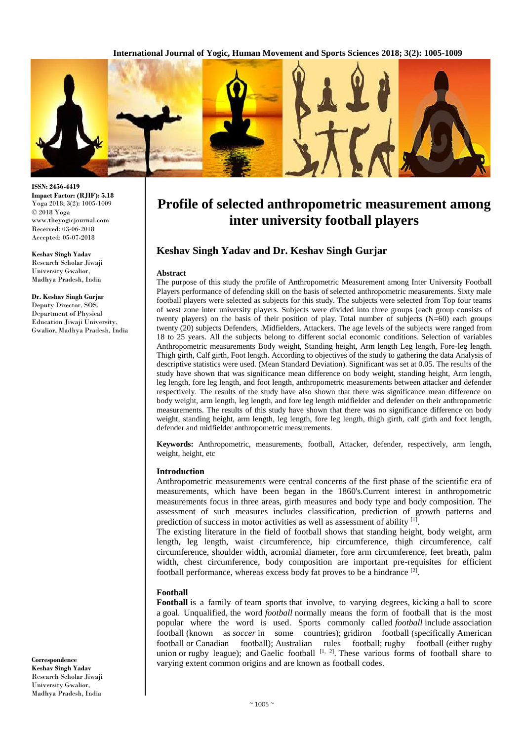**International Journal of Yogic, Human Movement and Sports Sciences 2018; 3(2): 1005-1009**



**ISSN: 2456-4419 Impact Factor: (RJIF): 5.18** Yoga 2018; 3(2): 1005-1009 © 2018 Yoga www.theyogicjournal.com Received: 03-06-2018 Accepted: 05-07-2018

**Keshav Singh Yadav** Research Scholar Jiwaji University Gwalior, Madhya Pradesh, India

**Dr. Keshav Singh Gurjar** Deputy Director, SOS, Department of Physical Education Jiwaji University, Gwalior, Madhya Pradesh, India

**Correspondence Keshav Singh Yadav** Research Scholar Jiwaji University Gwalior, Madhya Pradesh, India

# **Profile of selected anthropometric measurement among inter university football players**

## **Keshav Singh Yadav and Dr. Keshav Singh Gurjar**

#### **Abstract**

The purpose of this study the profile of Anthropometric Measurement among Inter University Football Players performance of defending skill on the basis of selected anthropometric measurements. Sixty male football players were selected as subjects for this study. The subjects were selected from Top four teams of west zone inter university players. Subjects were divided into three groups (each group consists of twenty players) on the basis of their position of play. Total number of subjects (N=60) each groups twenty (20) subjects Defenders, .Midfielders, Attackers. The age levels of the subjects were ranged from 18 to 25 years. All the subjects belong to different social economic conditions. Selection of variables Anthropometric measurements Body weight, Standing height, Arm length Leg length, Fore-leg length. Thigh girth, Calf girth, Foot length. According to objectives of the study to gathering the data Analysis of descriptive statistics were used. (Mean Standard Deviation). Significant was set at 0.05. The results of the study have shown that was significance mean difference on body weight, standing height, Arm length, leg length, fore leg length, and foot length, anthropometric measurements between attacker and defender respectively. The results of the study have also shown that there was significance mean difference on body weight, arm length, leg length, and fore leg length midfielder and defender on their anthropometric measurements. The results of this study have shown that there was no significance difference on body weight, standing height, arm length, leg length, fore leg length, thigh girth, calf girth and foot length, defender and midfielder anthropometric measurements.

**Keywords:** Anthropometric, measurements, football, Attacker, defender, respectively, arm length, weight, height, etc

#### **Introduction**

Anthropometric measurements were central concerns of the first phase of the scientific era of measurements, which have been began in the 1860's.Current interest in anthropometric measurements focus in three areas, girth measures and body type and body composition. The assessment of such measures includes classification, prediction of growth patterns and prediction of success in motor activities as well as assessment of ability [1].

The existing literature in the field of football shows that standing height, body weight, arm length, leg length, waist circumference, hip circumference, thigh circumference, calf circumference, shoulder width, acromial diameter, fore arm circumference, feet breath, palm width, chest circumference, body composition are important pre-requisites for efficient football performance, whereas excess body fat proves to be a hindrance  $^{[2]}$ .

## **Football**

**Football** is a family of team sports that involve, to varying degrees, kicking a ball to score a goal. Unqualified, the word *football* normally means the form of football that is the most popular where the word is used. Sports commonly called *football* include association football (known as *soccer* in some countries); gridiron football (specifically American football or Canadian football); Australian rules football; rugby football (either rugby union or rugby league); and Gaelic football  $[1, 2]$ . These various forms of football share to varying extent common origins and are known as football codes.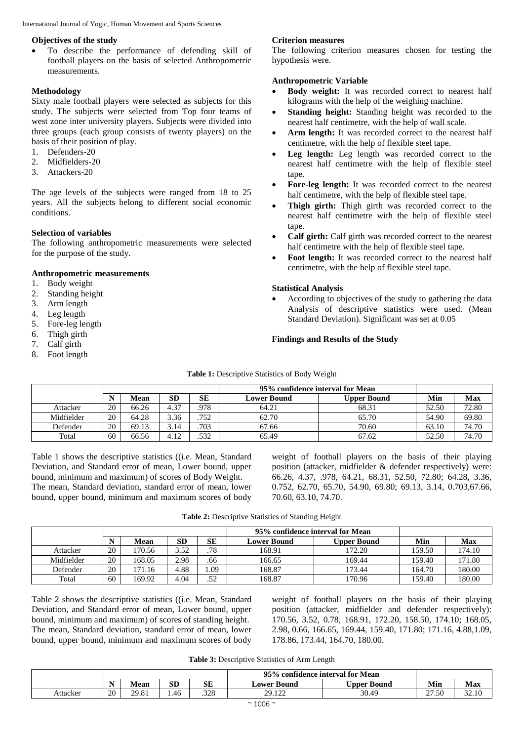International Journal of Yogic, Human Movement and Sports Sciences

### **Objectives of the study**

 To describe the performance of defending skill of football players on the basis of selected Anthropometric measurements.

## **Methodology**

Sixty male football players were selected as subjects for this study. The subjects were selected from Top four teams of west zone inter university players. Subjects were divided into three groups (each group consists of twenty players) on the basis of their position of play.

- 1. Defenders-20
- 2. Midfielders-20
- 3. Attackers-20

The age levels of the subjects were ranged from 18 to 25 years. All the subjects belong to different social economic conditions.

## **Selection of variables**

The following anthropometric measurements were selected for the purpose of the study.

#### **Anthropometric measurements**

- 1. Body weight
- 2. Standing height
- 3. Arm length
- 4. Leg length
- 5. Fore-leg length
- 6. Thigh girth
- 7. Calf girth
- 8. Foot length

## **Criterion measures**

The following criterion measures chosen for testing the hypothesis were.

## **Anthropometric Variable**

- **Body weight:** It was recorded correct to nearest half kilograms with the help of the weighing machine.
- **Standing height:** Standing height was recorded to the nearest half centimetre, with the help of wall scale.
- Arm length: It was recorded correct to the nearest half centimetre, with the help of flexible steel tape.
- **Leg length:** Leg length was recorded correct to the nearest half centimetre with the help of flexible steel tape.
- **Fore-leg length:** It was recorded correct to the nearest half centimetre, with the help of flexible steel tape.
- **Thigh girth:** Thigh girth was recorded correct to the nearest half centimetre with the help of flexible steel tape.
- **Calf girth:** Calf girth was recorded correct to the nearest half centimetre with the help of flexible steel tape.
- **Foot length:** It was recorded correct to the nearest half centimetre, with the help of flexible steel tape.

## **Statistical Analysis**

 According to objectives of the study to gathering the data Analysis of descriptive statistics were used. (Mean Standard Deviation). Significant was set at 0.05

## **Findings and Results of the Study**

|            |    |       |      |      | 95% confidence interval for Mean |             |       |       |
|------------|----|-------|------|------|----------------------------------|-------------|-------|-------|
|            |    | Mean  | SD   | SЕ   | <b>Lower Bound</b>               | Upper Bound | Min   | Max   |
| Attacker   | 20 | 66.26 | 4.37 | 978  | 64.21                            | 68.31       | 52.50 | 72.80 |
| Midfielder | 20 | 64.28 | 3.36 | .752 | 62.70                            | 65.70       | 54.90 | 69.80 |
| Defender   | 20 | 69.13 | 3.14 | .703 | 67.66                            | 70.60       | 63.10 | 74.70 |
| Total      | 60 | 66.56 | 4.12 | .532 | 65.49                            | 67.62       | 52.50 | 74.70 |

**Table 1:** Descriptive Statistics of Body Weight

Table 1 shows the descriptive statistics ((i.e. Mean, Standard Deviation, and Standard error of mean, Lower bound, upper bound, minimum and maximum) of scores of Body Weight. The mean, Standard deviation, standard error of mean, lower bound, upper bound, minimum and maximum scores of body

weight of football players on the basis of their playing position (attacker, midfielder & defender respectively) were: 66.26, 4.37, .978, 64.21, 68.31, 52.50, 72.80; 64.28, 3.36, 0.752, 62.70, 65.70, 54.90, 69.80; 69.13, 3.14, 0.703,67.66, 70.60, 63.10, 74.70.

**Table 2:** Descriptive Statistics of Standing Height

|            |    |        |      |     | 95% confidence interval for Mean |                    |        |        |
|------------|----|--------|------|-----|----------------------------------|--------------------|--------|--------|
|            |    | Mean   | SD   | SЕ  | Lower Bound                      | <b>Upper Bound</b> | Min    | Max    |
| Attacker   | 20 | 170.56 | 3.52 | .78 | 168.91                           | 172.20             | 159.50 | 174.10 |
| Midfielder | 20 | 168.05 | 2.98 | .66 | 166.65                           | 169.44             | 159.40 | 171.80 |
| Defender   | 20 | 171.16 | 4.88 | .09 | 168.87                           | 173.44             | 164.70 | 180.00 |
| Total      | 60 | 169.92 | 4.04 | .52 | 168.87                           | 170.96             | 159.40 | 180.00 |

Table 2 shows the descriptive statistics ((i.e. Mean, Standard Deviation, and Standard error of mean, Lower bound, upper bound, minimum and maximum) of scores of standing height. The mean, Standard deviation, standard error of mean, lower bound, upper bound, minimum and maximum scores of body weight of football players on the basis of their playing position (attacker, midfielder and defender respectively): 170.56, 3.52, 0.78, 168.91, 172.20, 158.50, 174.10; 168.05, 2.98, 0.66, 166.65, 169.44, 159.40, 171.80; 171.16, 4.88,1.09, 178.86, 173.44, 164.70, 180.00.

**Table 3:** Descriptive Statistics of Arm Length

|          |          |             |          |            | 95%             | o confidence interval for Mean |       |       |
|----------|----------|-------------|----------|------------|-----------------|--------------------------------|-------|-------|
|          | N<br>. . | <b>Mean</b> | CD<br>ЫU | <b>SE</b>  | Lower Bound     | Upper .<br>Bound               | Min   | Max   |
| Attacker | 20       | 29.81       | 1.46     | 220<br>ں∠ر | 20122<br>47.144 | 30.49                          | 27.50 | 22.10 |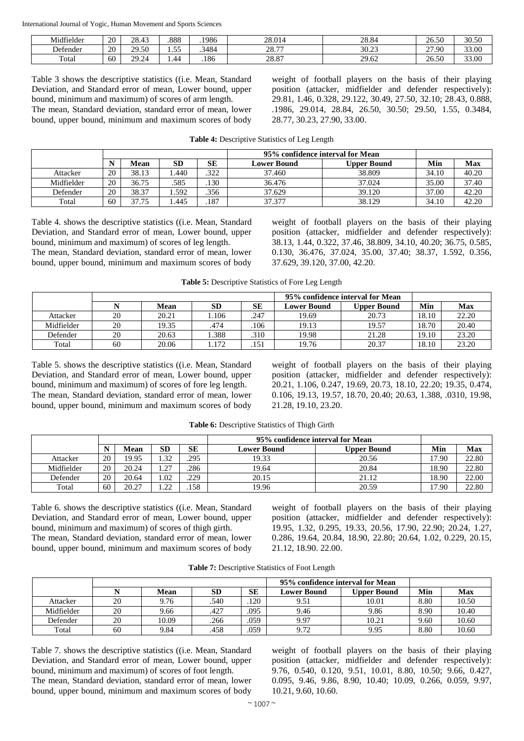International Journal of Yogic, Human Movement and Sports Sciences

| Midfielder                | 20 | 20.42<br>28.45                    | .888      | .1986 | 28.014       | 28.84 | 26.50                      | 20E<br>30.JU |
|---------------------------|----|-----------------------------------|-----------|-------|--------------|-------|----------------------------|--------------|
| $\sim$ $\sim$<br>Defender | 20 | 29.50                             | $ -$<br>. | .3484 | 2077<br>20.1 | 30.23 | '.90<br>$\sim$<br><u>_</u> | 33.00        |
| Total                     | 60 | 20.27<br>$\overline{\phantom{a}}$ | $\mu$     | .186  | 28.87        | 29.62 | 26.50                      | 33.00        |

Table 3 shows the descriptive statistics ((i.e. Mean, Standard Deviation, and Standard error of mean, Lower bound, upper bound, minimum and maximum) of scores of arm length. The mean, Standard deviation, standard error of mean, lower bound, upper bound, minimum and maximum scores of body weight of football players on the basis of their playing position (attacker, midfielder and defender respectively): 29.81, 1.46, 0.328, 29.122, 30.49, 27.50, 32.10; 28.43, 0.888, .1986, 29.014, 28.84, 26.50, 30.50; 29.50, 1.55, 0.3484, 28.77, 30.23, 27.90, 33.00.

|            |    |       |      |      | 95% confidence interval for Mean |             |       |       |
|------------|----|-------|------|------|----------------------------------|-------------|-------|-------|
|            |    | Mean  | SD   | SЕ   | <b>Lower Bound</b>               | Upper Bound | Min   | Max   |
| Attacker   | 20 | 38.13 | .440 | .322 | 37.460                           | 38.809      | 34.10 | 40.20 |
| Midfielder | 20 | 36.75 | .585 | .130 | 36.476                           | 37.024      | 35.00 | 37.40 |
| Defender   | 20 | 38.37 | .592 | .356 | 37.629                           | 39.120      | 37.00 | 42.20 |
| Total      | 60 | 37.75 | .445 | .187 | 37.377                           | 38.129      | 34.10 | 42.20 |

**Table 4:** Descriptive Statistics of Leg Length

Table 4. shows the descriptive statistics ((i.e. Mean, Standard Deviation, and Standard error of mean, Lower bound, upper bound, minimum and maximum) of scores of leg length. The mean, Standard deviation, standard error of mean, lower bound, upper bound, minimum and maximum scores of body weight of football players on the basis of their playing position (attacker, midfielder and defender respectively): 38.13, 1.44, 0.322, 37.46, 38.809, 34.10, 40.20; 36.75, 0.585, 0.130, 36.476, 37.024, 35.00, 37.40; 38.37, 1.592, 0.356, 37.629, 39.120, 37.00, 42.20.

**Table 5:** Descriptive Statistics of Fore Leg Length

|            |    |       |           |      |                    | 95% confidence interval for Mean |       |       |  |  |
|------------|----|-------|-----------|------|--------------------|----------------------------------|-------|-------|--|--|
|            |    | Mean  | <b>SD</b> | SE   | <b>Lower Bound</b> | <b>Upper Bound</b>               | Min   | Max   |  |  |
| Attacker   | 20 | 20.21 | l.106     | 247  | 19.69              | 20.73                            | 18.10 | 22.20 |  |  |
| Midfielder | 20 | 19.35 | .474      | .106 | 19.13              | 19.57                            | 18.70 | 20.40 |  |  |
| Defender   | 20 | 20.63 | 1.388     | .310 | 19.98              | 21.28                            | 19.10 | 23.20 |  |  |
| Total      | 60 | 20.06 | 1.172     | .151 | 19.76              | 20.37                            | 18.10 | 23.20 |  |  |

Table 5. shows the descriptive statistics ((i.e. Mean, Standard Deviation, and Standard error of mean, Lower bound, upper bound, minimum and maximum) of scores of fore leg length. The mean, Standard deviation, standard error of mean, lower bound, upper bound, minimum and maximum scores of body

weight of football players on the basis of their playing position (attacker, midfielder and defender respectively): 20.21, 1.106, 0.247, 19.69, 20.73, 18.10, 22.20; 19.35, 0.474, 0.106, 19.13, 19.57, 18.70, 20.40; 20.63, 1.388, .0310, 19.98, 21.28, 19.10, 23.20.

**Table 6:** Descriptive Statistics of Thigh Girth

|            |    |       |           |      | 95% confidence interval for Mean |                    |       |            |
|------------|----|-------|-----------|------|----------------------------------|--------------------|-------|------------|
|            | N  | Mean  | <b>SD</b> | SЕ   | <b>Lower Bound</b>               | <b>Upper Bound</b> | Min   | <b>Max</b> |
| Attacker   | 20 | 19.95 | 1.32      | .295 | 19.33                            | 20.56              | 17.90 | 22.80      |
| Midfielder | 20 | 20.24 | 27        | .286 | 19.64                            | 20.84              | 18.90 | 22.80      |
| Defender   | 20 | 20.64 | .02       | .229 | 20.15                            | 21.12              | 18.90 | 22.00      |
| Total      | 60 | 20.27 | ാറ<br>.   | .158 | 19.96                            | 20.59              | 17.90 | 22.80      |

Table 6. shows the descriptive statistics ((i.e. Mean, Standard Deviation, and Standard error of mean, Lower bound, upper bound, minimum and maximum) of scores of thigh girth. The mean, Standard deviation, standard error of mean, lower bound, upper bound, minimum and maximum scores of body

weight of football players on the basis of their playing position (attacker, midfielder and defender respectively): 19.95, 1.32, 0.295, 19.33, 20.56, 17.90, 22.90; 20.24, 1.27, 0.286, 19.64, 20.84, 18.90, 22.80; 20.64, 1.02, 0.229, 20.15, 21.12, 18.90. 22.00.

|            |    |       |           |           | 95% confidence interval for Mean |             |      |            |
|------------|----|-------|-----------|-----------|----------------------------------|-------------|------|------------|
|            |    | Mean  | <b>SD</b> | <b>SE</b> | <b>Lower Bound</b>               | Upper Bound | Min  | <b>Max</b> |
| Attacker   | 20 | 9.76  | .540      | .120      | 9.51                             | 10.01       | 8.80 | 10.50      |
| Midfielder | 20 | 9.66  | .427      | .095      | 9.46                             | 9.86        | 8.90 | 10.40      |
| Defender   | 20 | 10.09 | .266      | .059      | 9.97                             | 10.21       | 9.60 | 10.60      |
| Total      | 60 | 9.84  | .458      | .059      | 9.72                             | 9.95        | 8.80 | 10.60      |

Table 7. shows the descriptive statistics ((i.e. Mean, Standard Deviation, and Standard error of mean, Lower bound, upper bound, minimum and maximum) of scores of foot length. The mean, Standard deviation, standard error of mean, lower bound, upper bound, minimum and maximum scores of body

weight of football players on the basis of their playing position (attacker, midfielder and defender respectively): 9.76, 0.540, 0.120, 9.51, 10.01, 8.80, 10.50; 9.66, 0.427, 0.095, 9.46, 9.86, 8.90, 10.40; 10.09, 0.266, 0.059, 9.97, 10.21, 9.60, 10.60.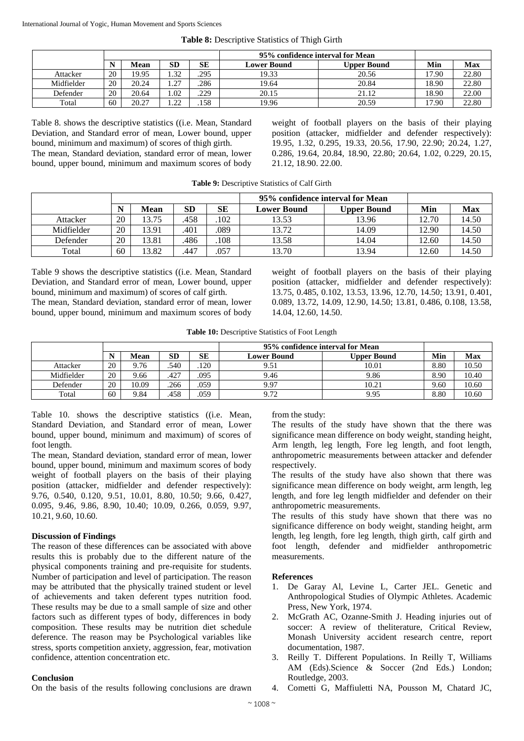| Table 8: Descriptive Statistics of Thigh Girth |
|------------------------------------------------|
|------------------------------------------------|

|            |    |       |                    |      | 95% confidence interval for Mean |                    |       |       |
|------------|----|-------|--------------------|------|----------------------------------|--------------------|-------|-------|
|            |    | Mean  | SD                 | SЕ   | <b>Lower Bound</b>               | <b>Upper Bound</b> | Min   | Max   |
| Attacker   | 20 | 19.95 | l.32               | .295 | 19.33                            | 20.56              | 17.90 | 22.80 |
| Midfielder | 20 | 20.24 | 27<br>. . <u>.</u> | .286 | 19.64                            | 20.84              | 18.90 | 22.80 |
| Defender   | 20 | 20.64 | .02                | .229 | 20.15                            | 21.12              | 18.90 | 22.00 |
| Total      | 60 | 20.27 | $\cap$<br>. . 22   | .158 | 19.96                            | 20.59              | 17.90 | 22.80 |

Table 8. shows the descriptive statistics ((i.e. Mean, Standard Deviation, and Standard error of mean, Lower bound, upper bound, minimum and maximum) of scores of thigh girth. The mean, Standard deviation, standard error of mean, lower bound, upper bound, minimum and maximum scores of body

weight of football players on the basis of their playing position (attacker, midfielder and defender respectively): 19.95, 1.32, 0.295, 19.33, 20.56, 17.90, 22.90; 20.24, 1.27, 0.286, 19.64, 20.84, 18.90, 22.80; 20.64, 1.02, 0.229, 20.15, 21.12, 18.90. 22.00.

|            |    |       |           |      | 95% confidence interval for Mean |             |       |       |
|------------|----|-------|-----------|------|----------------------------------|-------------|-------|-------|
|            | N  | Mean  | <b>SD</b> | SE   | <b>Lower Bound</b>               | Upper Bound | Min   | Max   |
| Attacker   | 20 | 13.75 | 458       | .102 | 13.53                            | 13.96       | 12.70 | 14.50 |
| Midfielder | 20 | 3.91  | 401       | .089 | 13.72                            | 14.09       | 12.90 | 14.50 |
| Defender   | 20 | 3.81  | .486      | .108 | 13.58                            | 14.04       | 12.60 | 14.50 |
| Total      | 60 | 3.82  | .447      | .057 | 13.70                            | 13.94       | 12.60 | 14.50 |

Table 9 shows the descriptive statistics ((i.e. Mean, Standard Deviation, and Standard error of mean, Lower bound, upper bound, minimum and maximum) of scores of calf girth. The mean, Standard deviation, standard error of mean, lower bound, upper bound, minimum and maximum scores of body weight of football players on the basis of their playing position (attacker, midfielder and defender respectively): 13.75, 0.485, 0.102, 13.53, 13.96, 12.70, 14.50; 13.91, 0.401, 0.089, 13.72, 14.09, 12.90, 14.50; 13.81, 0.486, 0.108, 13.58, 14.04, 12.60, 14.50.

**Table 10:** Descriptive Statistics of Foot Length

|            |    |       |      |      | 95% confidence interval for Mean |                    |      |       |
|------------|----|-------|------|------|----------------------------------|--------------------|------|-------|
|            |    | Mean  | SD   | SЕ   | <b>Lower Bound</b>               | <b>Upper Bound</b> | Min  | Max   |
| Attacker   | 20 | 9.76  | .540 | .120 | 9.51                             | 10.01              | 8.80 | 10.50 |
| Midfielder | 20 | 9.66  | .427 | .095 | 9.46                             | 9.86               | 8.90 | 10.40 |
| Defender   | 20 | 10.09 | .266 | .059 | 9.97                             | 10.21              | 9.60 | 10.60 |
| Total      | 60 | 9.84  | .458 | .059 | 9.72                             | 9.95               | 8.80 | 10.60 |

Table 10. shows the descriptive statistics ((i.e. Mean, Standard Deviation, and Standard error of mean, Lower bound, upper bound, minimum and maximum) of scores of foot length.

The mean, Standard deviation, standard error of mean, lower bound, upper bound, minimum and maximum scores of body weight of football players on the basis of their playing position (attacker, midfielder and defender respectively): 9.76, 0.540, 0.120, 9.51, 10.01, 8.80, 10.50; 9.66, 0.427, 0.095, 9.46, 9.86, 8.90, 10.40; 10.09, 0.266, 0.059, 9.97, 10.21, 9.60, 10.60.

## **Discussion of Findings**

The reason of these differences can be associated with above results this is probably due to the different nature of the physical components training and pre-requisite for students. Number of participation and level of participation. The reason may be attributed that the physically trained student or level of achievements and taken deferent types nutrition food. These results may be due to a small sample of size and other factors such as different types of body, differences in body composition. These results may be nutrition diet schedule deference. The reason may be Psychological variables like stress, sports competition anxiety, aggression, fear, motivation confidence, attention concentration etc.

#### **Conclusion**

On the basis of the results following conclusions are drawn

from the study:

The results of the study have shown that the there was significance mean difference on body weight, standing height, Arm length, leg length, Fore leg length, and foot length, anthropometric measurements between attacker and defender respectively.

The results of the study have also shown that there was significance mean difference on body weight, arm length, leg length, and fore leg length midfielder and defender on their anthropometric measurements.

The results of this study have shown that there was no significance difference on body weight, standing height, arm length, leg length, fore leg length, thigh girth, calf girth and foot length, defender and midfielder anthropometric measurements.

#### **References**

- 1. De Garay Al, Levine L, Carter JEL. Genetic and Anthropological Studies of Olympic Athletes. Academic Press, New York, 1974.
- 2. McGrath AC, Ozanne-Smith J. Heading injuries out of soccer: A review of theliterature, Critical Review, Monash University accident research centre, report documentation, 1987.
- 3. Reilly T. Different Populations. In Reilly T, Williams AM (Eds).Science & Soccer (2nd Eds.) London; Routledge, 2003.
- 4. Cometti G, Maffiuletti NA, Pousson M, Chatard JC,